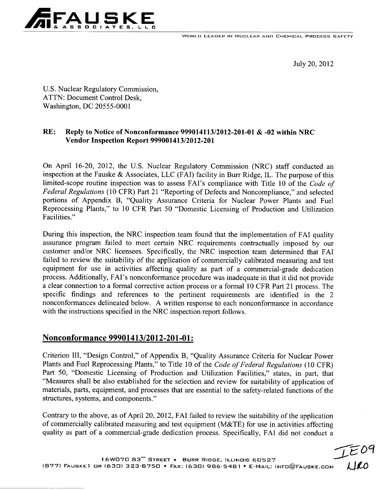**WORLD LEADER IN NUCLEAR AND CHEMICAL PROCESS SAFETY** 



July 20, 2012

U.S. Nuclear Regulatory Commission, ATTN: Document Control Desk, Washington, DC 20555-0001

# RE: Reply to Notice of Nonconformance 999014113/2012-201-01 **&** -02 within NRC Vendor Inspection Report 999001413/2012-201

On April 16-20, 2012, the U.S. Nuclear Regulatory Commission (NRC) staff conducted an inspection at the Fauske & Associates, **LLC** (FAI) facility in Burr Ridge, IL. The purpose of this limited-scope routine inspection was to assess FAI's compliance with Title 10 of the *Code of Federal Regulations* (10 CFR) Part 21 "Reporting of Defects and Noncompliance," and selected portions of Appendix B, "Quality Assurance Criteria for Nuclear Power Plants and Fuel Reprocessing Plants," to 10 CFR Part 50 "Domestic Licensing of Production and Utilization Facilities."

During this inspection, the NRC inspection team found that the implementation of FAI quality assurance program failed to meet certain NRC requirements contractually imposed by our customer and/or NRC licensees. Specifically, the NRC inspection team determined that **FAI** failed to review the suitability of the application of commercially calibrated measuring and test equipment for use in activities affecting quality as part of a commercial-grade dedication process. Additionally, FAI's nonconformance procedure was inadequate in that it did not provide a clear connection to a formal corrective action process or a formal 10 CFR Part 21 process. The specific findings and references to the pertinent requirements are identified in the 2 nonconformances delineated below. A written response to each nonconformance in accordance with the instructions specified in the NRC inspection report follows.

# Nonconformance 99901413/2012-201-01:

Criterion III, "Design Control," of Appendix B, "Quality Assurance Criteria for Nuclear Power Plants and Fuel Reprocessing Plants," to Title 10 of the *Code of Federal Regulations* (10 CFR) Part 50, "Domestic Licensing of Production and Utilization Facilities," states, in part, that "Measures shall be also established for the selection and review for suitability of application of materials, parts, equipment, and processes that are essential to the safety-related functions of the structures, systems, and components."

Contrary to the above, as of April 20, 2012, **FAI** failed to review the suitability of the application of commercially calibrated measuring and test equipment (M&TE) for use in activities affecting quality as part of a commercial-grade dedication process. Specifically, **FAI** did not conduct a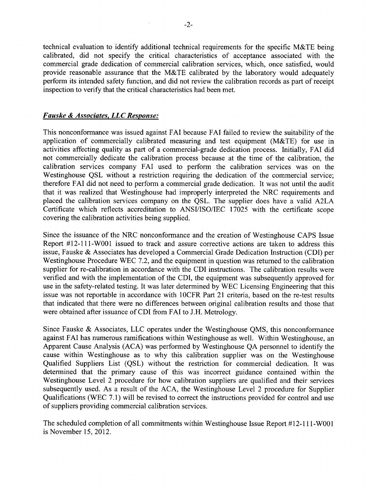technical evaluation to identify additional technical requirements for the specific M&TE being calibrated, did not specify the critical characteristics of acceptance associated with the commercial grade dedication of commercial calibration services, which, once satisfied, would provide reasonable assurance that the M&TE calibrated by the laboratory would adequately perform its intended safety function, and did not review the calibration records as part of receipt inspection to verify that the critical characteristics had been met.

#### *Fauske & Associates, LLC Response:*

This nonconformance was issued against **FAI** because FAI failed to review the suitability of the application of commercially calibrated measuring and test equipment (M&TE) for use in activities affecting quality as part of a commercial-grade dedication process. Initially, FAI did not commercially dedicate the calibration process because at the time of the calibration, the calibration services company FAI used to perform the calibration services was on the Westinghouse QSL without a restriction requiring the dedication of the commercial service; therefore FAI did not need to perform a commercial grade dedication. It was not until the audit that it was realized that Westinghouse had improperly interpreted the NRC requirements and placed the calibration services company on the QSL. The supplier does have a valid A2LA Certificate which reflects accreditation to ANSI/ISO/IEC 17025 with the certificate scope covering the calibration activities being supplied.

Since the issuance of the NRC nonconformance and the creation of Westinghouse CAPS Issue Report #12-111-WOOl issued to track and assure corrective actions are taken to address this issue, Fauske & Associates has developed a Commercial Grade Dedication Instruction (CDI) per Westinghouse Procedure WEC 7.2, and the equipment in question was returned to the calibration supplier for re-calibration in accordance with the CDI instructions. The calibration results were verified and with the implementation of the CDI, the equipment was subsequently approved for use in the safety-related testing. It was later determined by WEC Licensing Engineering that this issue was not reportable in accordance with 1OCFR Part 21 criteria, based on the re-test results that indicated that there were no differences between original calibration results and those that were obtained after issuance of CDI from FAI to J.H. Metrology.

Since Fauske & Associates, LLC operates under the Westinghouse QMS, this nonconformance against FAI has numerous ramifications within Westinghouse as well. Within Westinghouse, an Apparent Cause Analysis (ACA) was performed by Westinghouse QA personnel to identify the cause within Westinghouse as to why this calibration supplier was on the Westinghouse Qualified Suppliers List (QSL) without the restriction for commercial dedication. It was determined that the primary cause of this was incorrect guidance contained within the Westinghouse Level 2 procedure for how calibration suppliers are qualified and their services subsequently used. As a result of the ACA, the Westinghouse Level 2 procedure for Supplier Qualifications (WEC 7.1) will be revised to correct the instructions provided for control and use of suppliers providing commercial calibration services.

The scheduled completion of all commitments within Westinghouse Issue Report #12-111-W001 is November 15, 2012.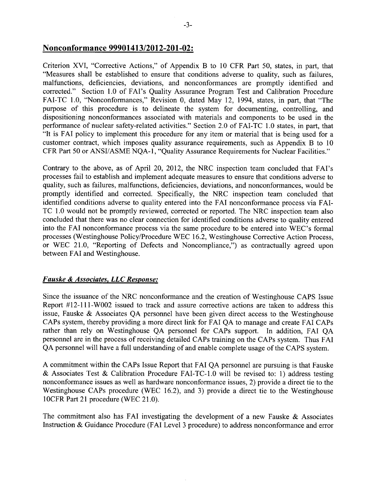## Nonconformance 99901413/2012-201-02:

Criterion XVI, "Corrective Actions," of Appendix B to 10 CFR Part 50, states, in part, that "Measures shall be established to ensure that conditions adverse to quality, such as failures, malfunctions, deficiencies, deviations, and nonconformances are promptly identified and corrected." Section 1.0 of FAI's Quality Assurance Program Test and Calibration Procedure FAI-TC 1.0, "Nonconformances," Revision 0, dated May 12, 1994, states, in part, that "The purpose of this procedure is to delineate the system for documenting, controlling, and dispositioning nonconformances associated with materials and components to be used in the performance of nuclear safety-related activities." Section 2.0 of FAI-TC 1.0 states, in part, that "It is FAI policy to implement this procedure for any item or material that is being used for a customer contract, which imposes quality assurance requirements, such as Appendix B to 10 CFR Part 50 or ANSI/ASME NQA-1, "Quality Assurance Requirements for Nuclear Facilities."

Contrary to the above, as of April 20, 2012, the NRC inspection team concluded that FAI's processes fail to establish and implement adequate measures to ensure that conditions adverse to quality, such as failures, malfunctions, deficiencies, deviations, and nonconformances, would be promptly identified and corrected. Specifically, the NRC inspection team concluded that identified conditions adverse to quality entered into the FAI nonconformance process via FAI-TC 1.0 would not be promptly reviewed, corrected or reported. The NRC inspection team also concluded that there was no clear connection for identified conditions adverse to quality entered into the FAI nonconformance process via the same procedure to be entered into WEC's formal processes (Westinghouse Policy/Procedure WEC 16.2, Westinghouse Corrective Action Process, or WEC 21.0, "Reporting of Defects and Noncompliance,") as contractually agreed upon between FAI and Westinghouse.

## *Fauske & Associates, LLC Response:*

Since the issuance of the NRC nonconformance and the creation of Westinghouse CAPS Issue Report #12-111-W002 issued to track and assure corrective actions are taken to address this issue, Fauske & Associates QA personnel have been given direct access to the Westinghouse CAPs system, thereby providing a more direct link for FAI QA to manage and create FAI CAPs rather than rely on Westinghouse QA personnel for CAPs support. In addition, FAI QA personnel are in the process of receiving detailed CAPs training on the CAPs system. Thus FAI QA personnel will have a full understanding of and enable complete usage of the CAPS system.

A commitment within the CAPs Issue Report that FAI QA personnel are pursuing is that Fauske & Associates Test & Calibration Procedure FAI-TC-1.0 will be revised to: 1) address testing nonconformance issues as well as hardware nonconformance issues, 2) provide a direct tie to the Westinghouse CAPs procedure (WEC 16.2), and 3) provide a direct tie to the Westinghouse 10CFR Part 21 procedure (WEC 21.0).

The commitment also has FAI investigating the development of a new Fauske  $\&$  Associates Instruction & Guidance Procedure (FAI Level 3 procedure) to address nonconformance and error